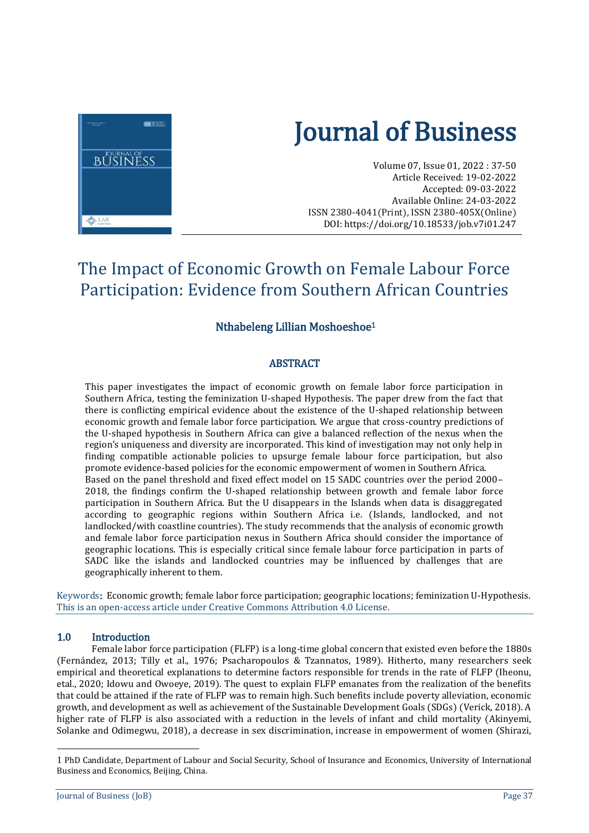

# Journal of Business

Volume 07, Issue 01, 2022 : 37-50 Article Received: 19-02-2022 Accepted: 09-03-2022 Available Online: 24-03-2022 ISSN 2380-4041(Print), ISSN 2380-405X(Online) DOI[: https://doi.org/10.18533/job.v7i01.247](https://doi.org/10.18533/job.v7i01.247)

# The Impact of Economic Growth on Female Labour Force Participation: Evidence from Southern African Countries

# Nthabeleng Lillian Moshoeshoe<sup>1</sup>

# ABSTRACT

This paper investigates the impact of economic growth on female labor force participation in Southern Africa, testing the feminization U-shaped Hypothesis. The paper drew from the fact that there is conflicting empirical evidence about the existence of the U-shaped relationship between economic growth and female labor force participation. We argue that cross-country predictions of the U-shaped hypothesis in Southern Africa can give a balanced reflection of the nexus when the region's uniqueness and diversity are incorporated. This kind of investigation may not only help in finding compatible actionable policies to upsurge female labour force participation, but also promote evidence-based policies for the economic empowerment of women in Southern Africa. Based on the panel threshold and fixed effect model on 15 SADC countries over the period 2000– 2018, the findings confirm the U-shaped relationship between growth and female labor force participation in Southern Africa. But the U disappears in the Islands when data is disaggregated according to geographic regions within Southern Africa i.e. (Islands, landlocked, and not landlocked/with coastline countries). The study recommends that the analysis of economic growth and female labor force participation nexus in Southern Africa should consider the importance of geographic locations. This is especially critical since female labour force participation in parts of SADC like the islands and landlocked countries may be influenced by challenges that are geographically inherent to them.

Keywords: Economic growth; female labor force participation; geographic locations; feminization U-Hypothesis. This is an open-access article under Creative Commons Attribution 4.0 License.

#### 1.0 Introduction

Female labor force participation (FLFP) is a long-time global concern that existed even before the 1880s (Fernández, 2013; Tilly et al., 1976; Psacharopoulos & Tzannatos, 1989). Hitherto, many researchers seek empirical and theoretical explanations to determine factors responsible for trends in the rate of FLFP (Iheonu, etal., 2020; Idowu and Owoeye, 2019). The quest to explain FLFP emanates from the realization of the benefits that could be attained if the rate of FLFP was to remain high. Such benefits include poverty alleviation, economic growth, and development as well as achievement of the Sustainable Development Goals (SDGs) (Verick, 2018). A higher rate of FLFP is also associated with a reduction in the levels of infant and child mortality (Akinyemi, Solanke and Odimegwu, 2018), a decrease in sex discrimination, increase in empowerment of women (Shirazi,

 $\overline{a}$ 

<sup>1</sup> PhD Candidate, Department of Labour and Social Security, School of Insurance and Economics, University of International Business and Economics, Beijing, China.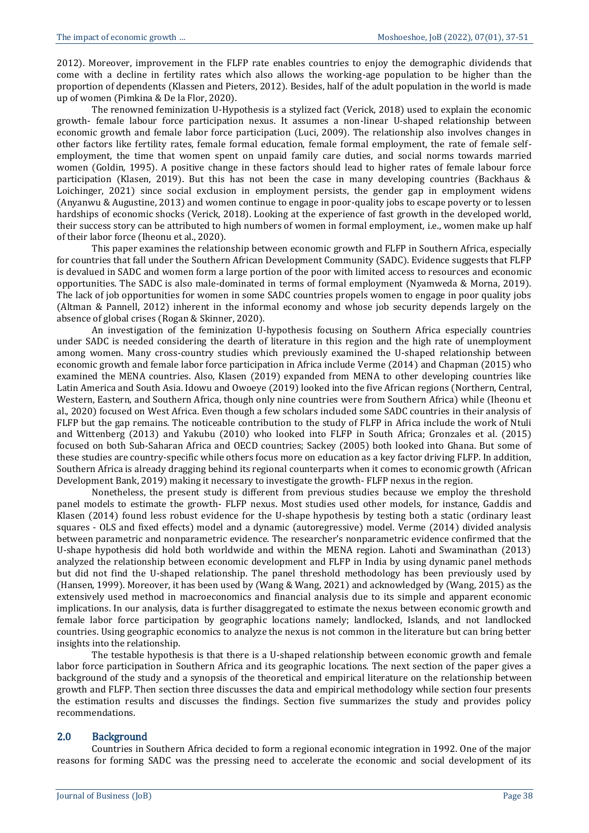2012). Moreover, improvement in the FLFP rate enables countries to enjoy the demographic dividends that come with a decline in fertility rates which also allows the working-age population to be higher than the proportion of dependents (Klassen and Pieters, 2012). Besides, half of the adult population in the world is made up of women (Pimkina & De la Flor, 2020).

The renowned feminization U-Hypothesis is a stylized fact (Verick, 2018) used to explain the economic growth- female labour force participation nexus. It assumes a non-linear U-shaped relationship between economic growth and female labor force participation (Luci, 2009). The relationship also involves changes in other factors like fertility rates, female formal education, female formal employment, the rate of female selfemployment, the time that women spent on unpaid family care duties, and social norms towards married women (Goldin, 1995). A positive change in these factors should lead to higher rates of female labour force participation (Klasen, 2019). But this has not been the case in many developing countries (Backhaus & Loichinger, 2021) since social exclusion in employment persists, the gender gap in employment widens (Anyanwu & Augustine, 2013) and women continue to engage in poor-quality jobs to escape poverty or to lessen hardships of economic shocks (Verick, 2018). Looking at the experience of fast growth in the developed world, their success story can be attributed to high numbers of women in formal employment, i.e., women make up half of their labor force (Iheonu et al., 2020).

This paper examines the relationship between economic growth and FLFP in Southern Africa, especially for countries that fall under the Southern African Development Community (SADC). Evidence suggests that FLFP is devalued in SADC and women form a large portion of the poor with limited access to resources and economic opportunities. The SADC is also male-dominated in terms of formal employment (Nyamweda & Morna, 2019). The lack of job opportunities for women in some SADC countries propels women to engage in poor quality jobs (Altman & Pannell, 2012) inherent in the informal economy and whose job security depends largely on the absence of global crises (Rogan & Skinner, 2020).

An investigation of the feminization U-hypothesis focusing on Southern Africa especially countries under SADC is needed considering the dearth of literature in this region and the high rate of unemployment among women. Many cross-country studies which previously examined the U-shaped relationship between economic growth and female labor force participation in Africa include Verme (2014) and Chapman (2015) who examined the MENA countries. Also, Klasen (2019) expanded from MENA to other developing countries like Latin America and South Asia. Idowu and Owoeye (2019) looked into the five African regions (Northern, Central, Western, Eastern, and Southern Africa, though only nine countries were from Southern Africa) while (Iheonu et al., 2020) focused on West Africa. Even though a few scholars included some SADC countries in their analysis of FLFP but the gap remains. The noticeable contribution to the study of FLFP in Africa include the work of Ntuli and Wittenberg (2013) and Yakubu (2010) who looked into FLFP in South Africa; Gronzales et al. (2015) focused on both Sub-Saharan Africa and OECD countries; Sackey (2005) both looked into Ghana. But some of these studies are country-specific while others focus more on education as a key factor driving FLFP. In addition, Southern Africa is already dragging behind its regional counterparts when it comes to economic growth (African Development Bank, 2019) making it necessary to investigate the growth- FLFP nexus in the region.

Nonetheless, the present study is different from previous studies because we employ the threshold panel models to estimate the growth- FLFP nexus. Most studies used other models, for instance, Gaddis and Klasen (2014) found less robust evidence for the U-shape hypothesis by testing both a static (ordinary least squares - OLS and fixed effects) model and a dynamic (autoregressive) model. Verme (2014) divided analysis between parametric and nonparametric evidence. The researcher's nonparametric evidence confirmed that the U-shape hypothesis did hold both worldwide and within the MENA region. Lahoti and Swaminathan (2013) analyzed the relationship between economic development and FLFP in India by using dynamic panel methods but did not find the U-shaped relationship. The panel threshold methodology has been previously used by (Hansen, 1999). Moreover, it has been used by (Wang & Wang, 2021) and acknowledged by (Wang, 2015) as the extensively used method in macroeconomics and financial analysis due to its simple and apparent economic implications. In our analysis, data is further disaggregated to estimate the nexus between economic growth and female labor force participation by geographic locations namely; landlocked, Islands, and not landlocked countries. Using geographic economics to analyze the nexus is not common in the literature but can bring better insights into the relationship.

The testable hypothesis is that there is a U-shaped relationship between economic growth and female labor force participation in Southern Africa and its geographic locations. The next section of the paper gives a background of the study and a synopsis of the theoretical and empirical literature on the relationship between growth and FLFP. Then section three discusses the data and empirical methodology while section four presents the estimation results and discusses the findings. Section five summarizes the study and provides policy recommendations.

#### 2.0 Background

Countries in Southern Africa decided to form a regional economic integration in 1992. One of the major reasons for forming SADC was the pressing need to accelerate the economic and social development of its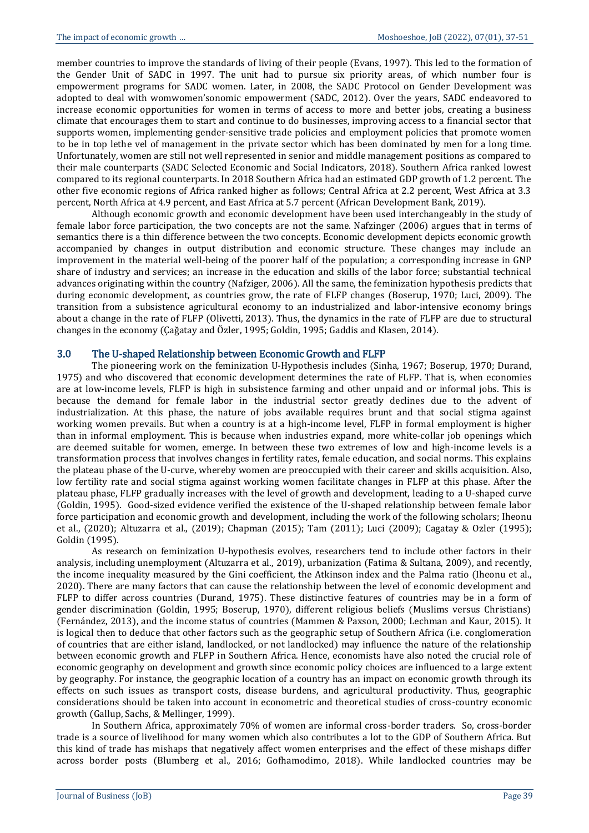member countries to improve the standards of living of their people (Evans, 1997). This led to the formation of the Gender Unit of SADC in 1997. The unit had to pursue six priority areas, of which number four is empowerment programs for SADC women. Later, in 2008, the SADC Protocol on Gender Development was adopted to deal with womwomen'sonomic empowerment (SADC, 2012). Over the years, SADC endeavored to increase economic opportunities for women in terms of access to more and better jobs, creating a business climate that encourages them to start and continue to do businesses, improving access to a financial sector that supports women, implementing gender-sensitive trade policies and employment policies that promote women to be in top lethe vel of management in the private sector which has been dominated by men for a long time. Unfortunately, women are still not well represented in senior and middle management positions as compared to their male counterparts (SADC Selected Economic and Social Indicators, 2018). Southern Africa ranked lowest compared to its regional counterparts. In 2018 Southern Africa had an estimated GDP growth of 1.2 percent. The other five economic regions of Africa ranked higher as follows; Central Africa at 2.2 percent, West Africa at 3.3 percent, North Africa at 4.9 percent, and East Africa at 5.7 percent (African Development Bank, 2019).

Although economic growth and economic development have been used interchangeably in the study of female labor force participation, the two concepts are not the same. Nafzinger (2006) argues that in terms of semantics there is a thin difference between the two concepts. Economic development depicts economic growth accompanied by changes in output distribution and economic structure. These changes may include an improvement in the material well-being of the poorer half of the population; a corresponding increase in GNP share of industry and services; an increase in the education and skills of the labor force; substantial technical advances originating within the country (Nafziger, 2006). All the same, the feminization hypothesis predicts that during economic development, as countries grow, the rate of FLFP changes (Boserup, 1970; Luci, 2009). The transition from a subsistence agricultural economy to an industrialized and labor-intensive economy brings about a change in the rate of FLFP (Olivetti, 2013). Thus, the dynamics in the rate of FLFP are due to structural changes in the economy (Çağatay and Özler, 1995; Goldin, 1995; Gaddis and Klasen, 2014).

#### 3.0 The U-shaped Relationship between Economic Growth and FLFP

The pioneering work on the feminization U-Hypothesis includes (Sinha, 1967; Boserup, 1970; Durand, 1975) and who discovered that economic development determines the rate of FLFP. That is, when economies are at low-income levels, FLFP is high in subsistence farming and other unpaid and or informal jobs. This is because the demand for female labor in the industrial sector greatly declines due to the advent of industrialization. At this phase, the nature of jobs available requires brunt and that social stigma against working women prevails. But when a country is at a high-income level, FLFP in formal employment is higher than in informal employment. This is because when industries expand, more white-collar job openings which are deemed suitable for women, emerge. In between these two extremes of low and high-income levels is a transformation process that involves changes in fertility rates, female education, and social norms. This explains the plateau phase of the U-curve, whereby women are preoccupied with their career and skills acquisition. Also, low fertility rate and social stigma against working women facilitate changes in FLFP at this phase. After the plateau phase, FLFP gradually increases with the level of growth and development, leading to a U-shaped curve (Goldin, 1995). Good-sized evidence verified the existence of the U-shaped relationship between female labor force participation and economic growth and development, including the work of the following scholars; Iheonu et al., (2020); Altuzarra et al., (2019); Chapman (2015); Tam (2011); Luci (2009); Cagatay & Ozler (1995); Goldin (1995).

As research on feminization U-hypothesis evolves, researchers tend to include other factors in their analysis, including unemployment (Altuzarra et al., 2019), urbanization (Fatima & Sultana, 2009), and recently, the income inequality measured by the Gini coefficient, the Atkinson index and the Palma ratio (Iheonu et al., 2020). There are many factors that can cause the relationship between the level of economic development and FLFP to differ across countries (Durand, 1975). These distinctive features of countries may be in a form of gender discrimination (Goldin, 1995; Boserup, 1970), different religious beliefs (Muslims versus Christians) (Fernández, 2013), and the income status of countries (Mammen & Paxson, 2000; Lechman and Kaur, 2015). It is logical then to deduce that other factors such as the geographic setup of Southern Africa (i.e. conglomeration of countries that are either island, landlocked, or not landlocked) may influence the nature of the relationship between economic growth and FLFP in Southern Africa. Hence, economists have also noted the crucial role of economic geography on development and growth since economic policy choices are influenced to a large extent by geography. For instance, the geographic location of a country has an impact on economic growth through its effects on such issues as transport costs, disease burdens, and agricultural productivity. Thus, geographic considerations should be taken into account in econometric and theoretical studies of cross-country economic growth (Gallup, Sachs, & Mellinger, 1999).

In Southern Africa, approximately 70% of women are informal cross-border traders. So, cross-border trade is a source of livelihood for many women which also contributes a lot to the GDP of Southern Africa. But this kind of trade has mishaps that negatively affect women enterprises and the effect of these mishaps differ across border posts (Blumberg et al., 2016; Gofhamodimo, 2018). While landlocked countries may be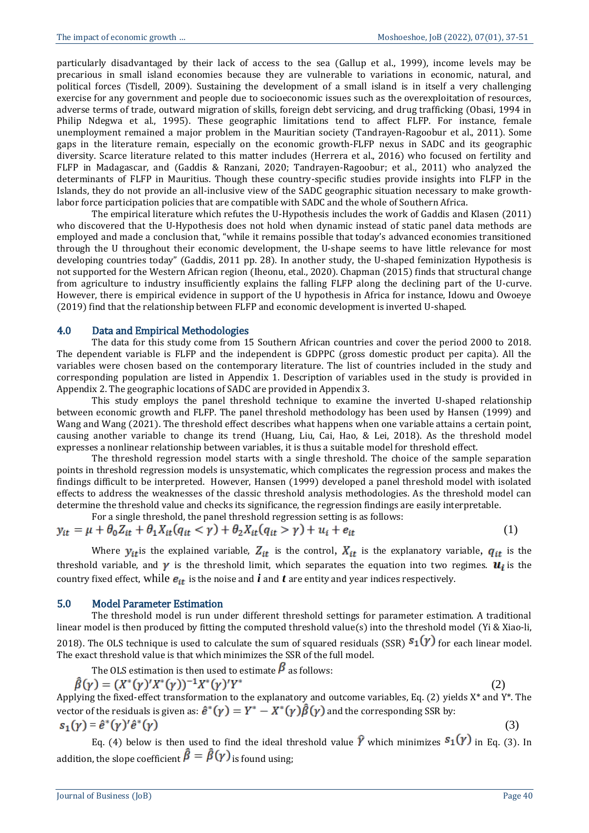particularly disadvantaged by their lack of access to the sea (Gallup et al., 1999), income levels may be precarious in small island economies because they are vulnerable to variations in economic, natural, and political forces (Tisdell, 2009). Sustaining the development of a small island is in itself a very challenging exercise for any government and people due to socioeconomic issues such as the overexploitation of resources, adverse terms of trade, outward migration of skills, foreign debt servicing, and drug trafficking (Obasi, 1994 in Philip Ndegwa et al., 1995). These geographic limitations tend to affect FLFP. For instance, female unemployment remained a major problem in the Mauritian society (Tandrayen-Ragoobur et al., 2011). Some gaps in the literature remain, especially on the economic growth-FLFP nexus in SADC and its geographic diversity. Scarce literature related to this matter includes (Herrera et al., 2016) who focused on fertility and FLFP in Madagascar, and (Gaddis & Ranzani, 2020; Tandrayen-Ragoobur; et al., 2011) who analyzed the determinants of FLFP in Mauritius. Though these country-specific studies provide insights into FLFP in the Islands, they do not provide an all-inclusive view of the SADC geographic situation necessary to make growthlabor force participation policies that are compatible with SADC and the whole of Southern Africa.

The empirical literature which refutes the U-Hypothesis includes the work of Gaddis and Klasen (2011) who discovered that the U-Hypothesis does not hold when dynamic instead of static panel data methods are employed and made a conclusion that, "while it remains possible that today's advanced economies transitioned through the U throughout their economic development, the U-shape seems to have little relevance for most developing countries today" (Gaddis, 2011 pp. 28). In another study, the U-shaped feminization Hypothesis is not supported for the Western African region (Iheonu, etal., 2020). Chapman (2015) finds that structural change from agriculture to industry insufficiently explains the falling FLFP along the declining part of the U-curve. However, there is empirical evidence in support of the U hypothesis in Africa for instance, Idowu and Owoeye (2019) find that the relationship between FLFP and economic development is inverted U-shaped.

#### 4.0 Data and Empirical Methodologies

The data for this study come from 15 Southern African countries and cover the period 2000 to 2018. The dependent variable is FLFP and the independent is GDPPC (gross domestic product per capita). All the variables were chosen based on the contemporary literature. The list of countries included in the study and corresponding population are listed in Appendix 1. Description of variables used in the study is provided in Appendix 2. The geographic locations of SADC are provided in Appendix 3.

This study employs the panel threshold technique to examine the inverted U-shaped relationship between economic growth and FLFP. The panel threshold methodology has been used by Hansen (1999) and Wang and Wang (2021). The threshold effect describes what happens when one variable attains a certain point, causing another variable to change its trend (Huang, Liu, Cai, Hao, & Lei, 2018). As the threshold model expresses a nonlinear relationship between variables, it is thus a suitable model for threshold effect.

The threshold regression model starts with a single threshold. The choice of the sample separation points in threshold regression models is unsystematic, which complicates the regression process and makes the findings difficult to be interpreted. However, Hansen (1999) developed a panel threshold model with isolated effects to address the weaknesses of the classic threshold analysis methodologies. As the threshold model can determine the threshold value and checks its significance, the regression findings are easily interpretable.

For a single threshold, the panel threshold regression setting is as follows:

$$
y_{it} = \mu + \theta_0 Z_{it} + \theta_1 X_{it} (q_{it} < \gamma) + \theta_2 X_{it} (q_{it} > \gamma) + u_i + e_{it}
$$
 (1)

Where  $y_{it}$  is the explained variable,  $Z_{it}$  is the control,  $X_{it}$  is the explanatory variable,  $q_{it}$  is the threshold variable, and  $\gamma$  is the threshold limit, which separates the equation into two regimes.  $\mathbf{u}_i$  is the country fixed effect, while  $e_{it}$  is the noise and  $\hat{i}$  and  $\hat{i}$  are entity and year indices respectively.

#### 5.0 Model Parameter Estimation

The threshold model is run under different threshold settings for parameter estimation. A traditional linear model is then produced by fitting the computed threshold value(s) into the threshold model (Yi & Xiao-li, 2018). The OLS technique is used to calculate the sum of squared residuals (SSR)  $s_1(y)$  for each linear model. The exact threshold value is that which minimizes the SSR of the full model.

The OLS estimation is then used to estimate  $\beta$  as follows:

$$
\hat{\beta}(\gamma) = (X^*(\gamma)'X^*(\gamma))^{-1}X^*(\gamma)'Y^*
$$
\n(2)

Applying the fixed-effect transformation to the explanatory and outcome variables, Eq. (2) yields X\* and Y\*. The vector of the residuals is given as:  $\hat{e}^*(\gamma) = Y^* - X^*(\gamma)\hat{\beta}(\gamma)$  and the corresponding SSR by:  $s_1(\gamma) = \hat{e}^*(\gamma)' \hat{e}^*(\gamma)$  (3)

Eq. (4) below is then used to find the ideal threshold value  $\hat{Y}$  which minimizes  $s_1(y)$  in Eq. (3). In addition, the slope coefficient  $\hat{\beta} = \hat{\beta}(\gamma)$  is found using: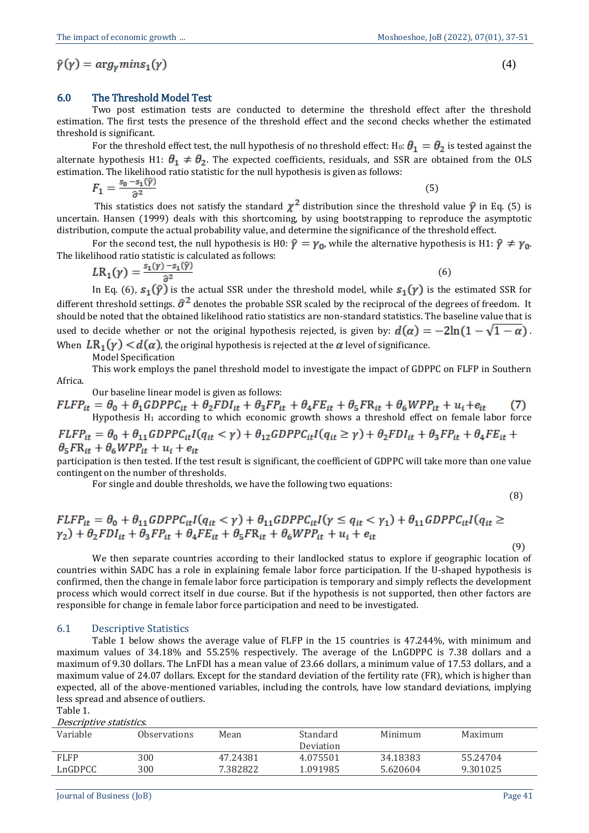(4)

#### 6.0 The Threshold Model Test

Two post estimation tests are conducted to determine the threshold effect after the threshold estimation. The first tests the presence of the threshold effect and the second checks whether the estimated threshold is significant.

For the threshold effect test, the null hypothesis of no threshold effect: H<sub>0</sub>:  $\theta_1 = \theta_2$  is tested against the alternate hypothesis H1:  $\theta_1 \neq \theta_2$ . The expected coefficients, residuals, and SSR are obtained from the OLS estimation. The likelihood ratio statistic for the null hypothesis is given as follows:

$$
F_1 = \frac{s_0 - s_1(\hat{\gamma})}{\hat{\sigma}^2} \tag{5}
$$

This statistics does not satisfy the standard  $\chi^2$  distribution since the threshold value  $\hat{\gamma}$  in Eq. (5) is uncertain. Hansen (1999) deals with this shortcoming, by using bootstrapping to reproduce the asymptotic distribution, compute the actual probability value, and determine the significance of the threshold effect.

For the second test, the null hypothesis is H0:  $\hat{\gamma} = \gamma_0$ , while the alternative hypothesis is H1:  $\hat{\gamma} \neq \gamma_0$ . The likelihood ratio statistic is calculated as follows:

$$
LR_1(\gamma) = \frac{s_1(\gamma) - s_1(\hat{\gamma})}{\hat{\sigma}^2} \tag{6}
$$

In Eq. (6),  $s_1(\hat{\gamma})$  is the actual SSR under the threshold model, while  $s_1(\gamma)$  is the estimated SSR for different threshold settings.  $\hat{\sigma}^2$  denotes the probable SSR scaled by the reciprocal of the degrees of freedom. It should be noted that the obtained likelihood ratio statistics are non-standard statistics. The baseline value that is used to decide whether or not the original hypothesis rejected, is given by:  $d(\alpha) = -2\ln(1-\sqrt{1-\alpha})$ . When  $LR_1(\gamma) < d(\alpha)$ , the original hypothesis is rejected at the  $\alpha$  level of significance.

Model Specification

This work employs the panel threshold model to investigate the impact of GDPPC on FLFP in Southern Africa.

Our baseline linear model is given as follows:

 $FLFP_{it} = \theta_0 + \theta_1 GDPPC_{it} + \theta_2 FDI_{it} + \theta_3 FP_{it} + \theta_4 FE_{it} + \theta_5 FR_{it} + \theta_6 WPP_{it} + u_i + e_{it}$  (7)<br>Hypothesis H<sub>1</sub> according to which economic growth shows a threshold effect on female labor force

 $\mathit{FLFP}_{it} = \theta_0 + \theta_{11} \mathit{GDPPC}_{it} I(q_{it} < \gamma) + \theta_{12} \mathit{GDPPC}_{it} I(q_{it} \geq \gamma) + \theta_2 \mathit{FDI}_{it} + \theta_3 \mathit{FP}_{it} + \theta_4 \mathit{FE}_{it} +$  $\theta_5 F R_{it} + \theta_6 W P P_{it} + u_i + e_{it}$ 

participation is then tested. If the test result is significant, the coefficient of GDPPC will take more than one value contingent on the number of thresholds.

For single and double thresholds, we have the following two equations:

(8)

(9)

$$
\begin{aligned} FLFP_{it} &= \theta_0 + \theta_{11} GDPPC_{it} I(q_{it} < \gamma) + \theta_{11} GDPPC_{it} I(\gamma \le q_{it} < \gamma_1) + \theta_{11} GDPPC_{it} I(q_{it} \ge \gamma_2) + \theta_2 FDI_{it} + \theta_3 FP_{it} + \theta_4 FE_{it} + \theta_5 FR_{it} + \theta_6 WPP_{it} + u_i + e_{it} \end{aligned}
$$

We then separate countries according to their landlocked status to explore if geographic location of countries within SADC has a role in explaining female labor force participation. If the U-shaped hypothesis is confirmed, then the change in female labor force participation is temporary and simply reflects the development process which would correct itself in due course. But if the hypothesis is not supported, then other factors are responsible for change in female labor force participation and need to be investigated.

#### 6.1 Descriptive Statistics

Table 1 below shows the average value of FLFP in the 15 countries is 47.244%, with minimum and maximum values of 34.18% and 55.25% respectively. The average of the LnGDPPC is 7.38 dollars and a maximum of 9.30 dollars. The LnFDI has a mean value of 23.66 dollars, a minimum value of 17.53 dollars, and a maximum value of 24.07 dollars. Except for the standard deviation of the fertility rate (FR), which is higher than expected, all of the above-mentioned variables, including the controls, have low standard deviations, implying less spread and absence of outliers.

Table 1. Descriptive statistics.

| Deseribuve statistics. |                     |          |           |          |          |  |  |  |  |  |
|------------------------|---------------------|----------|-----------|----------|----------|--|--|--|--|--|
| Variable               | <b>Observations</b> | Mean     | Standard  | Minimum  | Maximum  |  |  |  |  |  |
|                        |                     |          | Deviation |          |          |  |  |  |  |  |
| <b>FLFP</b>            | 300                 | 47.24381 | 4.075501  | 34.18383 | 55.24704 |  |  |  |  |  |
| LnGDPCC                | 300                 | 7.382822 | 1.091985  | 5.620604 | 9.301025 |  |  |  |  |  |
|                        |                     |          |           |          |          |  |  |  |  |  |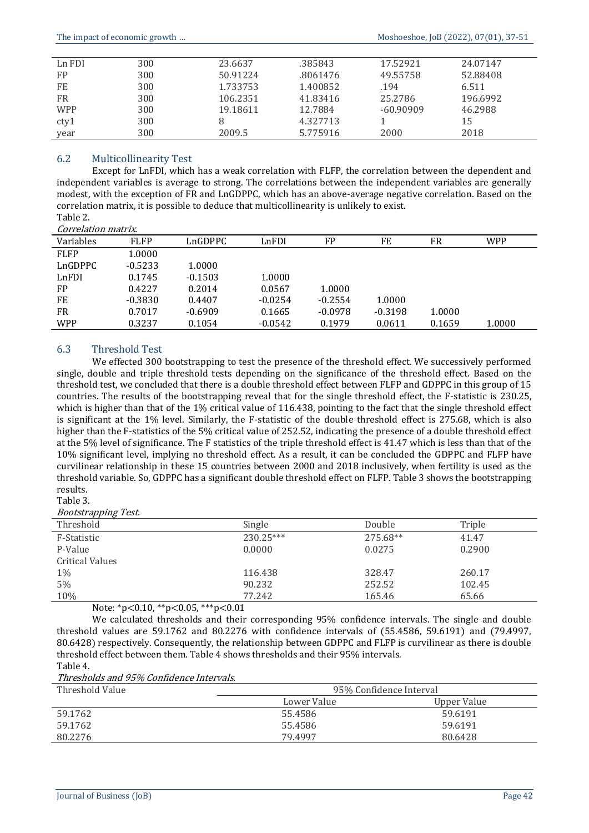| Ln FDI     | 300 | 23.6637  | .385843  | 17.52921    | 24.07147 |  |
|------------|-----|----------|----------|-------------|----------|--|
| FP         | 300 | 50.91224 | .8061476 | 49.55758    | 52.88408 |  |
| FE         | 300 | 1.733753 | 1.400852 | .194        | 6.511    |  |
| FR         | 300 | 106.2351 | 41.83416 | 25.2786     | 196.6992 |  |
| <b>WPP</b> | 300 | 19.18611 | 12.7884  | $-60.90909$ | 46.2988  |  |
| cty1       | 300 | 8        | 4.327713 |             | 15       |  |
| year       | 300 | 2009.5   | 5.775916 | 2000        | 2018     |  |

## 6.2 Multicollinearity Test

Except for LnFDI, which has a weak correlation with FLFP, the correlation between the dependent and independent variables is average to strong. The correlations between the independent variables are generally modest, with the exception of FR and LnGDPPC, which has an above-average negative correlation. Based on the correlation matrix, it is possible to deduce that multicollinearity is unlikely to exist. Table 2.

#### Correlation matrix.

| Variables   | <b>FLFP</b> | LnGDPPC   | LnFDI     | FP        | FE        | FR     | <b>WPP</b> |
|-------------|-------------|-----------|-----------|-----------|-----------|--------|------------|
| <b>FLFP</b> | 1.0000      |           |           |           |           |        |            |
| LnGDPPC     | $-0.5233$   | 1.0000    |           |           |           |        |            |
| LnFDI       | 0.1745      | $-0.1503$ | 1.0000    |           |           |        |            |
| <b>FP</b>   | 0.4227      | 0.2014    | 0.0567    | 1.0000    |           |        |            |
| FE          | $-0.3830$   | 0.4407    | $-0.0254$ | $-0.2554$ | 1.0000    |        |            |
| FR          | 0.7017      | $-0.6909$ | 0.1665    | $-0.0978$ | $-0.3198$ | 1.0000 |            |
| <b>WPP</b>  | 0.3237      | 0.1054    | $-0.0542$ | 0.1979    | 0.0611    | 0.1659 | 1.0000     |

#### 6.3 Threshold Test

We effected 300 bootstrapping to test the presence of the threshold effect. We successively performed single, double and triple threshold tests depending on the significance of the threshold effect. Based on the threshold test, we concluded that there is a double threshold effect between FLFP and GDPPC in this group of 15 countries. The results of the bootstrapping reveal that for the single threshold effect, the F-statistic is 230.25, which is higher than that of the 1% critical value of 116.438, pointing to the fact that the single threshold effect is significant at the 1% level. Similarly, the F-statistic of the double threshold effect is 275.68, which is also higher than the F-statistics of the 5% critical value of 252.52, indicating the presence of a double threshold effect at the 5% level of significance. The F statistics of the triple threshold effect is 41.47 which is less than that of the 10% significant level, implying no threshold effect. As a result, it can be concluded the GDPPC and FLFP have curvilinear relationship in these 15 countries between 2000 and 2018 inclusively, when fertility is used as the threshold variable. So, GDPPC has a significant double threshold effect on FLFP. Table 3 shows the bootstrapping results.

#### Table 3.

Bootstrapping Test.

| Threshold              | Single      | Double   | Triple |
|------------------------|-------------|----------|--------|
| F-Statistic            | $230.25***$ | 275.68** | 41.47  |
| P-Value                | 0.0000      | 0.0275   | 0.2900 |
| <b>Critical Values</b> |             |          |        |
| $1\%$                  | 116.438     | 328.47   | 260.17 |
| 5%                     | 90.232      | 252.52   | 102.45 |
| 10%                    | 77.242      | 165.46   | 65.66  |

Note: \*p<0.10, \*\*p<0.05, \*\*\*p<0.01

We calculated thresholds and their corresponding 95% confidence intervals. The single and double threshold values are 59.1762 and 80.2276 with confidence intervals of (55.4586, 59.6191) and (79.4997, 80.6428) respectively. Consequently, the relationship between GDPPC and FLFP is curvilinear as there is double threshold effect between them. Table 4 shows thresholds and their 95% intervals. Table 4.

Thresholds and 95% Confidence Intervals.

| Threshold Value | 95% Confidence Interval |             |  |  |  |
|-----------------|-------------------------|-------------|--|--|--|
|                 | Lower Value             | Upper Value |  |  |  |
| 59.1762         | 55.4586                 | 59.6191     |  |  |  |
| 59.1762         | 55.4586                 | 59.6191     |  |  |  |
| 80.2276         | 79.4997                 | 80.6428     |  |  |  |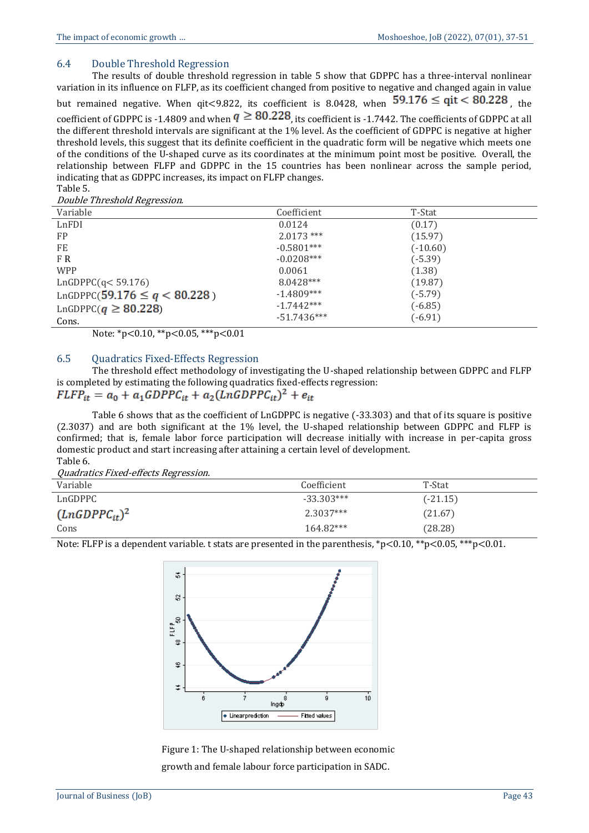## 6.4 Double Threshold Regression

The results of double threshold regression in table 5 show that GDPPC has a three-interval nonlinear variation in its influence on FLFP, as its coefficient changed from positive to negative and changed again in value but remained negative. When qit<9.822, its coefficient is 8.0428, when  $59.176 \leq qit < 80.228$ , the coefficient of GDPPC is -1.4809 and when  $q \geq 80.228$ , its coefficient is -1.7442. The coefficients of GDPPC at all the different threshold intervals are significant at the 1% level. As the coefficient of GDPPC is negative at higher threshold levels, this suggest that its definite coefficient in the quadratic form will be negative which meets one of the conditions of the U-shaped curve as its coordinates at the minimum point most be positive. Overall, the relationship between FLFP and GDPPC in the 15 countries has been nonlinear across the sample period, indicating that as GDPPC increases, its impact on FLFP changes. Table 5.

Double Threshold Regression.

| <i>Bouble The conord Regi coolon.</i> |               |            |  |
|---------------------------------------|---------------|------------|--|
| Variable                              | Coefficient   | T-Stat     |  |
| LnFDI                                 | 0.0124        | (0.17)     |  |
| <b>FP</b>                             | $2.0173$ ***  | (15.97)    |  |
| FE                                    | $-0.5801***$  | $(-10.60)$ |  |
| F R                                   | $-0.0208***$  | $(-5.39)$  |  |
| <b>WPP</b>                            | 0.0061        | (1.38)     |  |
| LnGDPPC(q<59.176)                     | 8.0428***     | (19.87)    |  |
| LnGDPPC(59.176 $\leq q < 80.228$ )    | $-1.4809***$  | $(-5.79)$  |  |
| LnGDPPC( $q \ge 80.228$ )             | $-1.7442***$  | $(-6.85)$  |  |
| Cons.                                 | $-51.7436***$ | $(-6.91)$  |  |

Note: \*p<0.10, \*\*p<0.05, \*\*\*p<0.01

#### 6.5 Quadratics Fixed-Effects Regression

The threshold effect methodology of investigating the U-shaped relationship between GDPPC and FLFP is completed by estimating the following quadratics fixed-effects regression:

$$
FLFP_{it} = a_0 + a_1 GDPPC_{it} + a_2 (LnGDPPC_{it})^2 + e_{it}
$$

Table 6 shows that as the coefficient of LnGDPPC is negative (-33.303) and that of its square is positive (2.3037) and are both significant at the 1% level, the U-shaped relationship between GDPPC and FLFP is confirmed; that is, female labor force participation will decrease initially with increase in per-capita gross domestic product and start increasing after attaining a certain level of development. Table 6.

Quadratics Fixed-effects Regression.

| Variable           | Coefficient  | T-Stat     |
|--------------------|--------------|------------|
| LnGDPPC            | $-33.303***$ | $(-21.15)$ |
| $(LnGDPPC_{it})^2$ | $2.3037***$  | (21.67)    |
| Cons               | 164.82***    | (28.28)    |

Note: FLFP is a dependent variable. t stats are presented in the parenthesis, \*p<0.10, \*\*p<0.05, \*\*\*p<0.01.



Figure 1: The U-shaped relationship between economic growth and female labour force participation in SADC.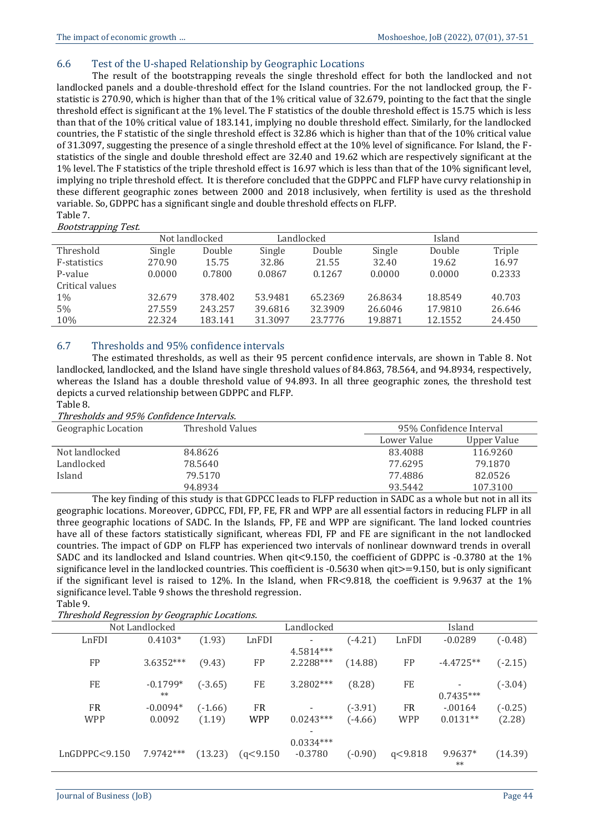#### 6.6 Test of the U-shaped Relationship by Geographic Locations

The result of the bootstrapping reveals the single threshold effect for both the landlocked and not landlocked panels and a double-threshold effect for the Island countries. For the not landlocked group, the Fstatistic is 270.90, which is higher than that of the 1% critical value of 32.679, pointing to the fact that the single threshold effect is significant at the 1% level. The F statistics of the double threshold effect is 15.75 which is less than that of the 10% critical value of 183.141, implying no double threshold effect. Similarly, for the landlocked countries, the F statistic of the single threshold effect is 32.86 which is higher than that of the 10% critical value of 31.3097, suggesting the presence of a single threshold effect at the 10% level of significance. For Island, the Fstatistics of the single and double threshold effect are 32.40 and 19.62 which are respectively significant at the 1% level. The F statistics of the triple threshold effect is 16.97 which is less than that of the 10% significant level, implying no triple threshold effect. It is therefore concluded that the GDPPC and FLFP have curvy relationship in these different geographic zones between 2000 and 2018 inclusively, when fertility is used as the threshold variable. So, GDPPC has a significant single and double threshold effects on FLFP. Table 7.

#### Bootstrapping Test.

| .               |        | Not landlocked |         | Landlocked |         | Island  |        |
|-----------------|--------|----------------|---------|------------|---------|---------|--------|
| Threshold       | Single | Double         | Single  | Double     | Single  | Double  | Triple |
| F-statistics    | 270.90 | 15.75          | 32.86   | 21.55      | 32.40   | 19.62   | 16.97  |
| P-value         | 0.0000 | 0.7800         | 0.0867  | 0.1267     | 0.0000  | 0.0000  | 0.2333 |
| Critical values |        |                |         |            |         |         |        |
| $1\%$           | 32.679 | 378.402        | 53.9481 | 65.2369    | 26.8634 | 18.8549 | 40.703 |
| 5%              | 27.559 | 243.257        | 39.6816 | 32.3909    | 26.6046 | 17.9810 | 26.646 |
| 10%             | 22.324 | 183.141        | 31.3097 | 23.7776    | 19.8871 | 12.1552 | 24.450 |

# 6.7 Thresholds and 95% confidence intervals

The estimated thresholds, as well as their 95 percent confidence intervals, are shown in Table 8. Not landlocked, landlocked, and the Island have single threshold values of 84.863, 78.564, and 94.8934, respectively, whereas the Island has a double threshold value of 94.893. In all three geographic zones, the threshold test depicts a curved relationship between GDPPC and FLFP.

# Table 8.

Thresholds and 95% Confidence Intervals.

| Geographic Location | Threshold Values |             | 95% Confidence Interval |  |
|---------------------|------------------|-------------|-------------------------|--|
|                     |                  | Lower Value | Upper Value             |  |
| Not landlocked      | 84.8626          | 83.4088     | 116.9260                |  |
| Landlocked          | 78.5640          | 77.6295     | 79.1870                 |  |
| Island              | 79.5170          | 77.4886     | 82.0526                 |  |
|                     | 94.8934          | 93.5442     | 107.3100                |  |

The key finding of this study is that GDPCC leads to FLFP reduction in SADC as a whole but not in all its geographic locations. Moreover, GDPCC, FDI, FP, FE, FR and WPP are all essential factors in reducing FLFP in all three geographic locations of SADC. In the Islands, FP, FE and WPP are significant. The land locked countries have all of these factors statistically significant, whereas FDI, FP and FE are significant in the not landlocked countries. The impact of GDP on FLFP has experienced two intervals of nonlinear downward trends in overall SADC and its landlocked and Island countries. When qit<9.150, the coefficient of GDPPC is -0.3780 at the 1% significance level in the landlocked countries. This coefficient is -0.5630 when qit>=9.150, but is only significant if the significant level is raised to 12%. In the Island, when  $FR < 9.818$ , the coefficient is 9.9637 at the 1% significance level. Table 9 shows the threshold regression. Table 9.

Threshold Regression by Geographic Locations.

| The eshora Kegi ession by Geographic Locations. |            |           |            |             |           |            |             |           |
|-------------------------------------------------|------------|-----------|------------|-------------|-----------|------------|-------------|-----------|
| Not Landlocked                                  |            |           | Landlocked |             |           | Island     |             |           |
| LnFDI                                           | $0.4103*$  | (1.93)    | LnFDI      |             | $(-4.21)$ | LnFDI      | $-0.0289$   | $(-0.48)$ |
|                                                 |            |           |            | 4.5814***   |           |            |             |           |
| FP                                              | 3.6352***  | (9.43)    | FP         | 2.2288***   | (14.88)   | FP         | $-4.4725**$ | $(-2.15)$ |
|                                                 |            |           |            |             |           |            |             |           |
| FE                                              | $-0.1799*$ | $(-3.65)$ | FE         | 3.2802***   | (8.28)    | FE         |             | $(-3.04)$ |
|                                                 | $**$       |           |            |             |           |            | $0.7435***$ |           |
| FR.                                             | $-0.0094*$ | $(-1.66)$ | FR         |             | $(-3.91)$ | <b>FR</b>  | $-0.0164$   | $(-0.25)$ |
| <b>WPP</b>                                      | 0.0092     | (1.19)    | <b>WPP</b> | $0.0243***$ | $(-4.66)$ | <b>WPP</b> | $0.0131**$  | (2.28)    |
|                                                 |            |           |            |             |           |            |             |           |
|                                                 |            |           |            | $0.0334***$ |           |            |             |           |
| LnGDPPC < 9.150                                 | 7.9742***  | (13.23)   | (q<9.150   | $-0.3780$   | $(-0.90)$ | q<9.818    | 9.9637*     | (14.39)   |
|                                                 |            |           |            |             |           |            | $**$        |           |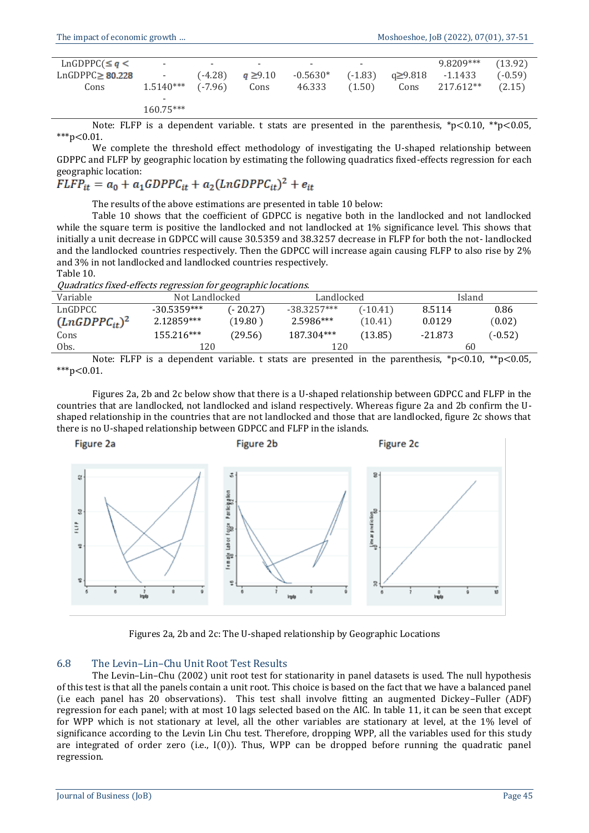| $LnGDPPC(\leq q <$   | $\overline{\phantom{a}}$ | $\overline{\phantom{0}}$ | $\overline{\phantom{0}}$ | $\overline{\phantom{0}}$ | $\overline{\phantom{0}}$ |         | 9.8209*** | (13.92)   |
|----------------------|--------------------------|--------------------------|--------------------------|--------------------------|--------------------------|---------|-----------|-----------|
| $LnGDPPC\geq 80.228$ | $\sim$                   | $(-4.28)$                | $q \ge 9.10$             | $-0.5630*$               | $(-1.83)$                | a≥9.818 | -1.1433   | $(-0.59)$ |
| Cons                 | $1.5140***$              | $(-7.96)$                | Cons                     | 46.333                   | (1.50)                   | Cons    | 217.612** | (2.15)    |
|                      |                          |                          |                          |                          |                          |         |           |           |
|                      | $160.75***$              |                          |                          |                          |                          |         |           |           |

Note: FLFP is a dependent variable. t stats are presented in the parenthesis, \*p<0.10, \*\*p<0.05,  $***p<0.01$ .

We complete the threshold effect methodology of investigating the U-shaped relationship between GDPPC and FLFP by geographic location by estimating the following quadratics fixed-effects regression for each geographic location:

$$
FLFP_{it} = a_0 + a_1 GDPPC_{it} + a_2 (LnGDPPC_{it})^2 + e_{it}
$$

The results of the above estimations are presented in table 10 below:

Table 10 shows that the coefficient of GDPCC is negative both in the landlocked and not landlocked while the square term is positive the landlocked and not landlocked at 1% significance level. This shows that initially a unit decrease in GDPCC will cause 30.5359 and 38.3257 decrease in FLFP for both the not- landlocked and the landlocked countries respectively. Then the GDPCC will increase again causing FLFP to also rise by 2% and 3% in not landlocked and landlocked countries respectively. Table 10.

Quadratics fixed-effects regression for geographic locations.

|                    |                | $\cdots$  |               |            |           |           |  |  |  |
|--------------------|----------------|-----------|---------------|------------|-----------|-----------|--|--|--|
| Variable           | Not Landlocked |           | Landlocked    |            | Island    |           |  |  |  |
| LnGDPCC            | $-30.5359***$  | (- 20.27) | $-38.3257***$ | $(-10.41)$ | 8.5114    | 0.86      |  |  |  |
| $(LnGDPPC_{it})^2$ | 2.12859***     | (19.80 )  | 2.5986***     | (10.41)    | 0.0129    | (0.02)    |  |  |  |
| Cons               | $155.216***$   | (29.56)   | 187.304***    | (13.85)    | $-21.873$ | $(-0.52)$ |  |  |  |
| Obs.               | 120            |           | 120           |            | 60        |           |  |  |  |
|                    |                |           |               |            |           |           |  |  |  |

Note: FLFP is a dependent variable. t stats are presented in the parenthesis,  $p < 0.10$ ,  $\epsilon_p < 0.05$ ,  $***p<0.01$ .

Figures 2a, 2b and 2c below show that there is a U-shaped relationship between GDPCC and FLFP in the countries that are landlocked, not landlocked and island respectively. Whereas figure 2a and 2b confirm the Ushaped relationship in the countries that are not landlocked and those that are landlocked, figure 2c shows that there is no U-shaped relationship between GDPCC and FLFP in the islands.



Figures 2a, 2b and 2c: The U-shaped relationship by Geographic Locations

#### 6.8 The Levin–Lin–Chu Unit Root Test Results

The Levin–Lin–Chu (2002) unit root test for stationarity in panel datasets is used. The null hypothesis of this test is that all the panels contain a unit root. This choice is based on the fact that we have a balanced panel (i.e each panel has 20 observations). This test shall involve fitting an augmented Dickey–Fuller (ADF) regression for each panel; with at most 10 lags selected based on the AIC. In table 11, it can be seen that except for WPP which is not stationary at level, all the other variables are stationary at level, at the 1% level of significance according to the Levin Lin Chu test. Therefore, dropping WPP, all the variables used for this study are integrated of order zero (i.e.,  $I(0)$ ). Thus, WPP can be dropped before running the quadratic panel regression.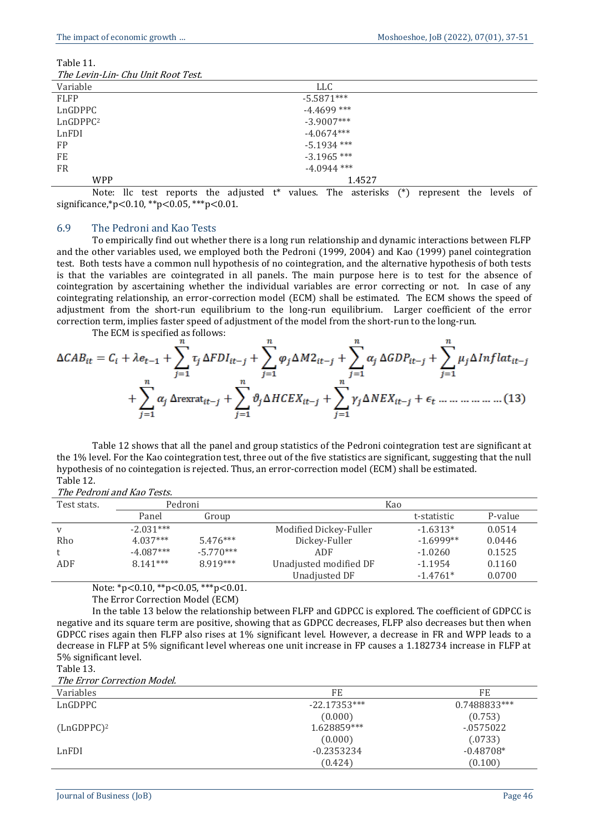| Table 11. |  |
|-----------|--|
|-----------|--|

|  | The Levin-Lin- Chu Unit Root Test. |
|--|------------------------------------|
|  |                                    |

| The Levin-Lin- Chu Unit Noot Test. |               |  |
|------------------------------------|---------------|--|
| Variable                           | <b>LLC</b>    |  |
| <b>FLFP</b>                        | $-5.5871***$  |  |
| LnGDPPC                            | $-4.4699$ *** |  |
| LnGDPPC <sup>2</sup>               | $-3.9007***$  |  |
| LnFDI                              | $-4.0674***$  |  |
| FP                                 | $-5.1934$ *** |  |
| FE                                 | $-3.1965$ *** |  |
| <b>FR</b>                          | $-4.0944$ *** |  |
| <b>WPP</b>                         | 1.4527        |  |

Note: llc test reports the adjusted t\* values. The asterisks (\*) represent the levels of significance,\*p<0.10, \*\*p<0.05, \*\*\*p<0.01.

#### 6.9 The Pedroni and Kao Tests

To empirically find out whether there is a long run relationship and dynamic interactions between FLFP and the other variables used, we employed both the Pedroni (1999, 2004) and Kao (1999) panel cointegration test. Both tests have a common null hypothesis of no cointegration, and the alternative hypothesis of both tests is that the variables are cointegrated in all panels. The main purpose here is to test for the absence of cointegration by ascertaining whether the individual variables are error correcting or not. In case of any cointegrating relationship, an error-correction model (ECM) shall be estimated. The ECM shows the speed of adjustment from the short-run equilibrium to the long-run equilibrium. Larger coefficient of the error correction term, implies faster speed of adjustment of the model from the short-run to the long-run.

The ECM is specified as follows:

Table 12 shows that all the panel and group statistics of the Pedroni cointegration test are significant at the 1% level. For the Kao cointegration test, three out of the five statistics are significant, suggesting that the null hypothesis of no cointegation is rejected. Thus, an error-correction model (ECM) shall be estimated. Table 12.

| Test stats. | Pedroni     |             | Kao                    |             |         |
|-------------|-------------|-------------|------------------------|-------------|---------|
|             | Panel       | Group       |                        | t-statistic | P-value |
| v           | $-2.031***$ |             | Modified Dickey-Fuller | $-1.6313*$  | 0.0514  |
| Rho         | $4.037***$  | $5.476***$  | Dickey-Fuller          | $-1.6999**$ | 0.0446  |
|             | $-4.087***$ | $-5.770***$ | ADF                    | $-1.0260$   | 0.1525  |
| ADF         | $8.141***$  | 8.919***    | Unadjusted modified DF | $-1.1954$   | 0.1160  |
|             |             |             | Unadjusted DF          | $-1.4761*$  | 0.0700  |

Note: \*p<0.10, \*\*p<0.05, \*\*\*p<0.01.

The Error Correction Model (ECM)

In the table 13 below the relationship between FLFP and GDPCC is explored. The coefficient of GDPCC is negative and its square term are positive, showing that as GDPCC decreases, FLFP also decreases but then when GDPCC rises again then FLFP also rises at 1% significant level. However, a decrease in FR and WPP leads to a decrease in FLFP at 5% significant level whereas one unit increase in FP causes a 1.182734 increase in FLFP at 5% significant level.

Table 13.

The Error Correction Model.

| Variables     | FE             | FE           |
|---------------|----------------|--------------|
| LnGDPPC       | $-22.17353***$ | 0.7488833*** |
|               | (0.000)        | (0.753)      |
| $(LnGDPPC)^2$ | 1.628859***    | $-0575022$   |
|               | (0.000)        | (.0733)      |
| LnFDI         | $-0.2353234$   | $-0.48708*$  |
|               | (0.424)        | (0.100)      |
|               |                |              |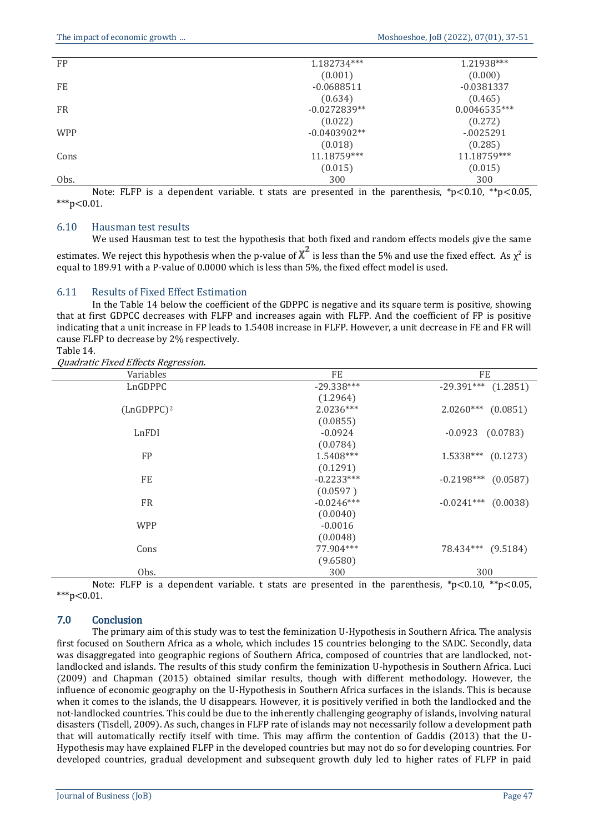| FP         | 1.182734***    | 1.21938***   |
|------------|----------------|--------------|
|            | (0.001)        | (0.000)      |
| FE         | $-0.0688511$   | $-0.0381337$ |
|            | (0.634)        | (0.465)      |
| <b>FR</b>  | $-0.0272839**$ | 0.0046535*** |
|            | (0.022)        | (0.272)      |
| <b>WPP</b> | $-0.0403902**$ | $-0025291$   |
|            | (0.018)        | (0.285)      |
| Cons       | 11.18759***    | 11.18759***  |
|            | (0.015)        | (0.015)      |
| Obs.       | 300            | 300          |

Note: FLFP is a dependent variable. t stats are presented in the parenthesis,  $p<0.10$ ,  $*p<0.05$ ,  $***p<0.01$ .

#### 6.10 Hausman test results

We used Hausman test to test the hypothesis that both fixed and random effects models give the same estimates. We reject this hypothesis when the p-value of  $\chi^2$  is less than the 5% and use the fixed effect. As  $\chi^2$  is equal to 189.91 with a P-value of 0.0000 which is less than 5%, the fixed effect model is used.

#### 6.11 Results of Fixed Effect Estimation

In the Table 14 below the coefficient of the GDPPC is negative and its square term is positive, showing that at first GDPCC decreases with FLFP and increases again with FLFP. And the coefficient of FP is positive indicating that a unit increase in FP leads to 1.5408 increase in FLFP. However, a unit decrease in FE and FR will cause FLFP to decrease by 2% respectively.

Table 14.

Quadratic Fixed Effects Regression.

| Variables     | FE           | FE                       |
|---------------|--------------|--------------------------|
| LnGDPPC       | $-29.338***$ | $-29.391***$ (1.2851)    |
|               | (1.2964)     |                          |
| $(LnGDPPC)^2$ | $2.0236***$  | $2.0260***$ (0.0851)     |
|               | (0.0855)     |                          |
| LnFDI         | $-0.0924$    | (0.0783)<br>$-0.0923$    |
|               | (0.0784)     |                          |
| FP            | 1.5408***    | $1.5338***$ (0.1273)     |
|               | (0.1291)     |                          |
| FE            | $-0.2233***$ | $-0.2198***$ (0.0587)    |
|               | (0.0597)     |                          |
| <b>FR</b>     | $-0.0246***$ | $-0.0241***$<br>(0.0038) |
|               | (0.0040)     |                          |
| <b>WPP</b>    | $-0.0016$    |                          |
|               | (0.0048)     |                          |
| Cons          | 77.904***    | 78.434*** (9.5184)       |
|               | (9.6580)     |                          |
| Obs.          | 300          | 300                      |

Note: FLFP is a dependent variable. t stats are presented in the parenthesis,  $p < 0.10$ ,  $\binom{*p}{0.05}$ , \*\*\*p<0.01.

# 7.0 Conclusion

The primary aim of this study was to test the feminization U-Hypothesis in Southern Africa. The analysis first focused on Southern Africa as a whole, which includes 15 countries belonging to the SADC. Secondly, data was disaggregated into geographic regions of Southern Africa, composed of countries that are landlocked, notlandlocked and islands. The results of this study confirm the feminization U-hypothesis in Southern Africa. Luci (2009) and Chapman (2015) obtained similar results, though with different methodology. However, the influence of economic geography on the U-Hypothesis in Southern Africa surfaces in the islands. This is because when it comes to the islands, the U disappears. However, it is positively verified in both the landlocked and the not-landlocked countries. This could be due to the inherently challenging geography of islands, involving natural disasters (Tisdell, 2009). As such, changes in FLFP rate of islands may not necessarily follow a development path that will automatically rectify itself with time. This may affirm the contention of Gaddis (2013) that the U-Hypothesis may have explained FLFP in the developed countries but may not do so for developing countries. For developed countries, gradual development and subsequent growth duly led to higher rates of FLFP in paid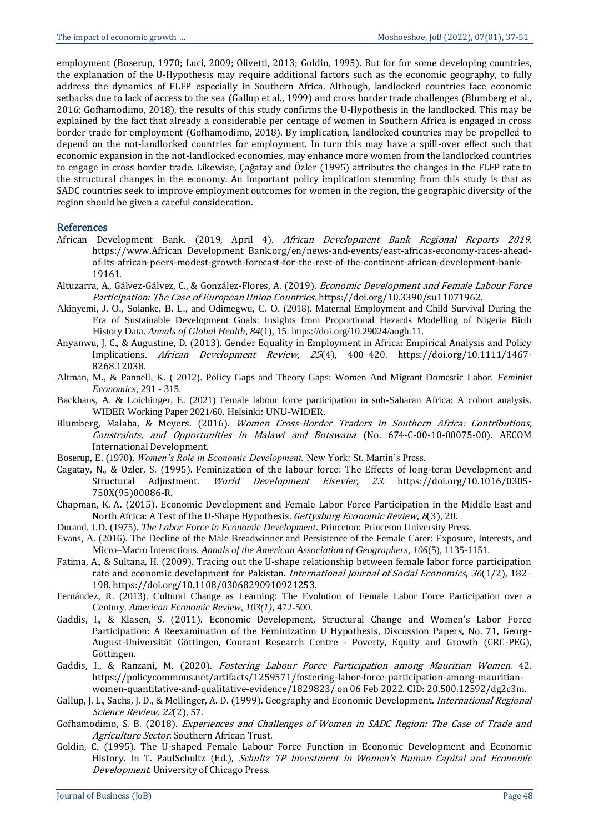employment (Boserup, 1970; Luci, 2009; Olivetti, 2013; Goldin, 1995). But for for some developing countries, the explanation of the U-Hypothesis may require additional factors such as the economic geography, to fully address the dynamics of FLFP especially in Southern Africa. Although, landlocked countries face economic setbacks due to lack of access to the sea (Gallup et al., 1999) and cross border trade challenges (Blumberg et al., 2016; Gofhamodimo, 2018), the results of this study confirms the U-Hypothesis in the landlocked. This may be explained by the fact that already a considerable per centage of women in Southern Africa is engaged in cross border trade for employment (Gofhamodimo, 2018). By implication, landlocked countries may be propelled to depend on the not-landlocked countries for employment. In turn this may have a spill-over effect such that economic expansion in the not-landlocked economies, may enhance more women from the landlocked countries to engage in cross border trade. Likewise, Çağatay and Özler (1995) attributes the changes in the FLFP rate to the structural changes in the economy. An important policy implication stemming from this study is that as SADC countries seek to improve employment outcomes for women in the region, the geographic diversity of the region should be given a careful consideration.

#### References

- African Development Bank. (2019, April 4). African Development Bank Regional Reports 2019. https://www.African Development Bank.org/en/news-and-events/east-africas-economy-races-aheadof-its-african-peers-modest-growth-forecast-for-the-rest-of-the-continent-african-development-bank-19161.
- Altuzarra, A., Gálvez-Gálvez, C., & González-Flores, A. (2019). *Economic Development and Female Labour Force* Participation: The Case of European Union Countries. https://doi.org/10.3390/su11071962.
- Akinyemi, J. O., Solanke, B. L., and Odimegwu, C. O. (2018). Maternal Employment and Child Survival During the Era of Sustainable Development Goals: Insights from Proportional Hazards Modelling of Nigeria Birth History Data. *Annals of Global Health*, *84*(1), 15. https://doi.org/10.29024/aogh.11.
- Anyanwu, J. C., & Augustine, D. (2013). Gender Equality in Employment in Africa: Empirical Analysis and Policy Implications. African Development Review, 25(4), 400–420. https://doi.org/10.1111/1467- 8268.12038.
- Altman, M., & Pannell, K. ( 2012). Policy Gaps and Theory Gaps: Women And Migrant Domestic Labor. *Feminist Economics*, 291 - 315.
- Backhaus, A. & Loichinger, E. (2021) Female labour force participation in sub-Saharan Africa: A cohort analysis. WIDER Working Paper 2021/60. Helsinki: UNU-WIDER.
- Blumberg, Malaba, & Meyers. (2016). Women Cross-Border Traders in Southern Africa: Contributions, Constraints, and Opportunities in Malawi and Botswana (No. 674-C-00-10-00075-00). AECOM International Development.
- Boserup, E. (1970). *Women's Role in Economic Development.* New York: St. Martin's Press.
- Cagatay, N., & Ozler, S. (1995). Feminization of the labour force: The Effects of long-term Development and Structural Adjustment. World Development Elsevier, 23. https://doi.org/10.1016/0305- 750X(95)00086-R.
- Chapman, K. A. (2015). Economic Development and Female Labor Force Participation in the Middle East and North Africa: A Test of the U-Shape Hypothesis. Gettysburg Economic Review, 8(3), 20.
- Durand, J.D. (1975). *The Labor Force in Economic Development*. Princeton: Princeton University Press.
- Evans, A. (2016). The Decline of the Male Breadwinner and Persistence of the Female Carer: Exposure, Interests, and Micro–Macro Interactions. *Annals of the American Association of Geographers, 106*(5), 1135-1151.
- Fatima, A., & Sultana, H. (2009). Tracing out the U-shape relationship between female labor force participation rate and economic development for Pakistan. *International Journal of Social Economics*, 36(1/2), 182– 198. https://doi.org/10.1108/03068290910921253.
- Fernández, R. (2013). Cultural Change as Learning: The Evolution of Female Labor Force Participation over a Century. *American Economic Review, 103(1)*, 472-500.
- Gaddis, I., & Klasen, S. (2011). Economic Development, Structural Change and Women's Labor Force Participation: A Reexamination of the Feminization U Hypothesis, Discussion Papers, No. 71, Georg-August-Universität Göttingen, Courant Research Centre - Poverty, Equity and Growth (CRC-PEG), Göttingen.
- Gaddis, I., & Ranzani, M. (2020). Fostering Labour Force Participation among Mauritian Women. 42. https://policycommons.net/artifacts/1259571/fostering-labor-force-participation-among-mauritianwomen-quantitative-and-qualitative-evidence/1829823/ on 06 Feb 2022. CID: 20.500.12592/dg2c3m.
- Gallup, J. L., Sachs, J. D., & Mellinger, A. D. (1999). Geography and Economic Development. International Regional Science Review, 22(2), 57.
- Gofhamodimo, S. B. (2018). Experiences and Challenges of Women in SADC Region: The Case of Trade and Agriculture Sector. Southern African Trust.
- Goldin, C. (1995). The U-shaped Female Labour Force Function in Economic Development and Economic History. In T. PaulSchultz (Ed.), Schultz TP Investment in Women's Human Capital and Economic Development. University of Chicago Press.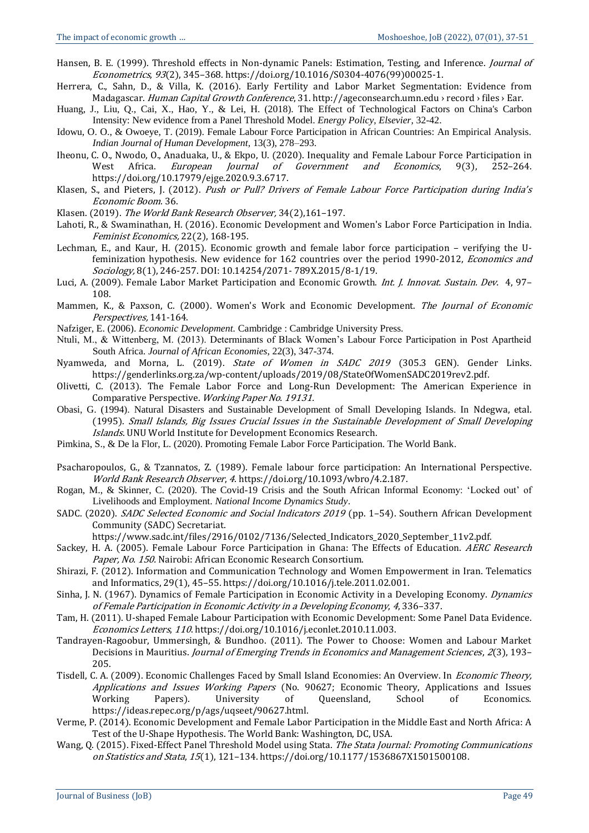- Hansen, B. E. (1999). Threshold effects in Non-dynamic Panels: Estimation, Testing, and Inference. *Journal of* Econometrics, 93(2), 345–368. https://doi.org/10.1016/S0304-4076(99)00025-1.
- Herrera, C., Sahn, D., & Villa, K. (2016). Early Fertility and Labor Market Segmentation: Evidence from Madagascar. Human Capital Growth Conference, 31. http://ageconsearch.umn.edu › record › files › Ear.
- Huang, J., Liu, Q., Cai, X., Hao, Y., & Lei, H. (2018). The Effect of Technological Factors on China's Carbon Intensity: New evidence from a Panel Threshold Model. *Energy Policy, Elsevier,* 32-42.
- Idowu, O. O., & Owoeye, T. (2019). Female Labour Force Participation in African Countries: An Empirical Analysis. *Indian Journal of Human Development,* 13(3), 278–293.
- Iheonu, C. O., Nwodo, O., Anaduaka, U., & Ekpo, U. (2020). Inequality and Female Labour Force Participation in West Africa. European Journal of Government and Economics, 9(3), 252-264. https://doi.org/10.17979/ejge.2020.9.3.6717.
- Klasen, S., and Pieters, J. (2012). Push or Pull? Drivers of Female Labour Force Participation during India's Economic Boom. 36.
- Klasen. (2019). The World Bank Research Observer, 34(2),161–197.
- Lahoti, R., & Swaminathan, H. (2016). Economic Development and Women's Labor Force Participation in India. Feminist Economics, 22(2), 168-195.
- Lechman, E., and Kaur, H. (2015). Economic growth and female labor force participation verifying the Ufeminization hypothesis. New evidence for 162 countries over the period 1990-2012, Economics and Sociology, 8(1), 246-257. DOI: 10.14254/2071- 789X.2015/8-1/19.
- Luci, A. (2009). Female Labor Market Participation and Economic Growth. Int. J. Innovat. Sustain. Dev. 4, 97-108.
- Mammen, K., & Paxson, C. (2000). Women's Work and Economic Development. The Journal of Economic Perspectives, 141-164.
- Nafziger, E. (2006). *Economic Development.* Cambridge : Cambridge University Press.
- Ntuli, M., & Wittenberg, M. (2013). Determinants of Black Women's Labour Force Participation in Post Apartheid South Africa. *Journal of African Economies*, 22(3), 347-374.
- Nyamweda, and Morna, L. (2019). *State of Women in SADC 2019* (305.3 GEN). Gender Links. https://genderlinks.org.za/wp-content/uploads/2019/08/StateOfWomenSADC2019rev2.pdf.
- Olivetti, C. (2013). The Female Labor Force and Long-Run Development: The American Experience in Comparative Perspective. Working Paper No. 19131.
- Obasi, G. (1994). Natural Disasters and Sustainable Development of Small Developing Islands. In Ndegwa, etal. (1995). Small Islands, Big Issues Crucial Issues in the Sustainable Development of Small Developing Islands. UNU World Institute for Development Economics Research.
- Pimkina, S., & De la Flor, L. (2020). Promoting Female Labor Force Participation. The World Bank*.*
- Psacharopoulos, G., & Tzannatos, Z. (1989). Female labour force participation: An International Perspective. World Bank Research Observer, 4. https://doi.org/10.1093/wbro/4.2.187.
- Rogan, M., & Skinner, C. (2020). The Covid-19 Crisis and the South African Informal Economy: 'Locked out' of Livelihoods and Employment. *National Income Dynamics Study*.
- SADC. (2020). SADC Selected Economic and Social Indicators 2019 (pp. 1–54). Southern African Development Community (SADC) Secretariat.
	- https://www.sadc.int/files/2916/0102/7136/Selected\_Indicators\_2020\_September\_11v2.pdf.
- Sackey, H. A. (2005). Female Labour Force Participation in Ghana: The Effects of Education. AERC Research Paper, No. 150. Nairobi: African Economic Research Consortium.
- Shirazi, F. (2012). Information and Communication Technology and Women Empowerment in Iran. Telematics and Informatics, 29(1), 45–55. https://doi.org/10.1016/j.tele.2011.02.001.
- Sinha, J. N. (1967). Dynamics of Female Participation in Economic Activity in a Developing Economy. *Dynamics* of Female Participation in Economic Activity in a Developing Economy, <sup>4</sup>, 336–337.
- Tam, H. (2011). U-shaped Female Labour Participation with Economic Development: Some Panel Data Evidence. Economics Letters, 110. https://doi.org/10.1016/j.econlet.2010.11.003.
- Tandrayen-Ragoobur, Ummersingh, & Bundhoo. (2011). The Power to Choose: Women and Labour Market Decisions in Mauritius. Journal of Emerging Trends in Economics and Management Sciences, 2(3), 193– 205.
- Tisdell, C. A. (2009). Economic Challenges Faced by Small Island Economies: An Overview. In Economic Theory, Applications and Issues Working Papers (No. 90627; Economic Theory, Applications and Issues Working Papers). University of Queensland, School of Economics. https://ideas.repec.org/p/ags/uqseet/90627.html.
- Verme, P. (2014). Economic Development and Female Labor Participation in the Middle East and North Africa: A Test of the U-Shape Hypothesis. The World Bank: Washington, DC, USA.
- Wang, Q. (2015). Fixed-Effect Panel Threshold Model using Stata. The Stata Journal: Promoting Communications on Statistics and Stata, 15(1), 121–134. https://doi.org/10.1177/1536867X1501500108.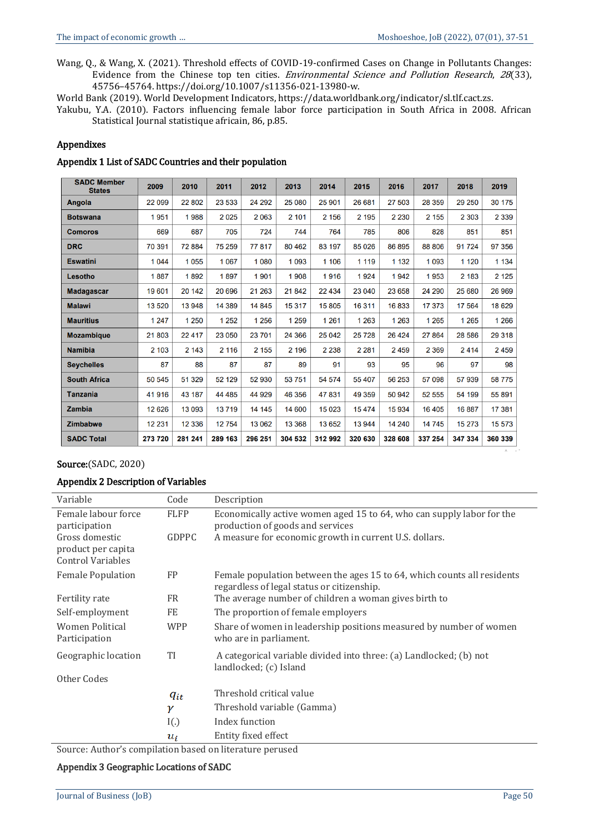Wang, Q., & Wang, X. (2021). Threshold effects of COVID-19-confirmed Cases on Change in Pollutants Changes: Evidence from the Chinese top ten cities. *Environmental Science and Pollution Research*, 28(33), 45756–45764. https://doi.org/10.1007/s11356-021-13980-w.

World Bank (2019). World Development Indicators, https://data.worldbank.org/indicator/sl.tlf.cact.zs.

Yakubu, Y.A. (2010). Factors influencing female labor force participation in South Africa in 2008. African Statistical Journal statistique africain, 86, p.85.

#### Appendixes

#### Appendix 1 List of SADC Countries and their population

| <b>SADC Member</b><br><b>States</b> | 2009    | 2010     | 2011     | 2012    | 2013    | 2014    | 2015    | 2016    | 2017    | 2018    | 2019    |
|-------------------------------------|---------|----------|----------|---------|---------|---------|---------|---------|---------|---------|---------|
| Angola                              | 22 099  | 22 802   | 23 533   | 24 29 2 | 25 080  | 25 901  | 26 681  | 27 503  | 28 359  | 29 250  | 30 175  |
| <b>Botswana</b>                     | 1951    | 1988     | 2025     | 2063    | 2 101   | 2 1 5 6 | 2 1 9 5 | 2 2 3 0 | 2 1 5 5 | 2 3 0 3 | 2 3 3 9 |
| <b>Comoros</b>                      | 669     | 687      | 705      | 724     | 744     | 764     | 785     | 806     | 828     | 851     | 851     |
| <b>DRC</b>                          | 70 391  | 72884    | 75 259   | 77817   | 80 462  | 83 197  | 85 0 26 | 86 895  | 88 806  | 91 724  | 97 356  |
| <b>Eswatini</b>                     | 1044    | 1055     | 1 0 6 7  | 1 0 8 0 | 1 0 9 3 | 1 1 0 6 | 1 1 1 9 | 1 1 3 2 | 1 0 9 3 | 1 1 2 0 | 1 1 3 4 |
| Lesotho                             | 1887    | 1892     | 1897     | 1901    | 1 908   | 1916    | 1924    | 1942    | 1953    | 2 183   | 2 1 2 5 |
| <b>Madagascar</b>                   | 19601   | 20 14 2  | 20 696   | 21 263  | 21842   | 22 4 34 | 23 040  | 23 658  | 24 290  | 25 680  | 26 969  |
| <b>Malawi</b>                       | 13520   | 13 948   | 14 389   | 14 845  | 15 317  | 15805   | 16311   | 16833   | 17 373  | 17 564  | 18 6 29 |
| <b>Mauritius</b>                    | 1 2 4 7 | 1 250    | 1 2 5 2  | 1 256   | 1 2 5 9 | 1 2 6 1 | 1 2 6 3 | 1 2 6 3 | 1 2 6 5 | 1 2 6 5 | 1 2 6 6 |
| <b>Mozambique</b>                   | 21803   | 22 4 1 7 | 23 050   | 23 701  | 24 366  | 25 042  | 25728   | 26 4 24 | 27 864  | 28 586  | 29 3 18 |
| <b>Namibia</b>                      | 2 1 0 3 | 2 1 4 3  | 2 1 1 6  | 2 1 5 5 | 2 196   | 2 2 3 8 | 2 2 8 1 | 2459    | 2 3 6 9 | 2414    | 2459    |
| <b>Seychelles</b>                   | 87      | 88       | 87       | 87      | 89      | 91      | 93      | 95      | 96      | 97      | 98      |
| <b>South Africa</b>                 | 50 545  | 51 329   | 52 129   | 52 930  | 53 751  | 54 574  | 55 407  | 56 253  | 57 098  | 57 939  | 58775   |
| <b>Tanzania</b>                     | 41916   | 43 187   | 44 4 8 5 | 44 929  | 46 356  | 47831   | 49 359  | 50 942  | 52 555  | 54 199  | 55 891  |
| <b>Zambia</b>                       | 12 6 26 | 13 093   | 13719    | 14 14 5 | 14 600  | 15 0 23 | 15474   | 15934   | 16 405  | 16887   | 17 381  |
| <b>Zimbabwe</b>                     | 12 231  | 12 3 36  | 12754    | 13 062  | 13 368  | 13 652  | 13 944  | 14 240  | 14 745  | 15 273  | 15 573  |
| <b>SADC Total</b>                   | 273 720 | 281 241  | 289 163  | 296 251 | 304 532 | 312 992 | 320 630 | 328 608 | 337 254 | 347 334 | 360 339 |

#### Source:(SADC, 2020)

# Appendix 2 Description of Variables

| Variable                                                         | Code         | Description                                                                                                           |
|------------------------------------------------------------------|--------------|-----------------------------------------------------------------------------------------------------------------------|
| Female labour force<br>participation                             | <b>FLFP</b>  | Economically active women aged 15 to 64, who can supply labor for the<br>production of goods and services             |
| Gross domestic<br>product per capita<br><b>Control Variables</b> | <b>GDPPC</b> | A measure for economic growth in current U.S. dollars.                                                                |
| <b>Female Population</b>                                         | FP           | Female population between the ages 15 to 64, which counts all residents<br>regardless of legal status or citizenship. |
| Fertility rate                                                   | <b>FR</b>    | The average number of children a woman gives birth to                                                                 |
| Self-employment                                                  | FE           | The proportion of female employers                                                                                    |
| Women Political<br>Participation                                 | <b>WPP</b>   | Share of women in leadership positions measured by number of women<br>who are in parliament.                          |
| Geographic location                                              | <b>TI</b>    | A categorical variable divided into three: (a) Landlocked; (b) not<br>landlocked; (c) Island                          |
| Other Codes                                                      |              |                                                                                                                       |
|                                                                  | $q_{it}$     | Threshold critical value                                                                                              |
|                                                                  | γ            | Threshold variable (Gamma)                                                                                            |
|                                                                  | I(.)         | Index function                                                                                                        |
| $\sim$ $\sim$ $\sim$                                             | $u_i$        | Entity fixed effect                                                                                                   |

Source: Author's compilation based on literature perused

#### Appendix 3 Geographic Locations of SADC